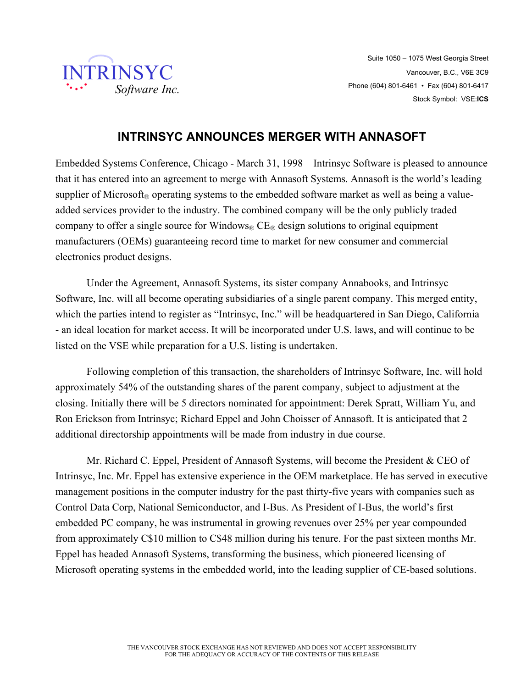

## **INTRINSYC ANNOUNCES MERGER WITH ANNASOFT**

Embedded Systems Conference, Chicago - March 31, 1998 – Intrinsyc Software is pleased to announce that it has entered into an agreement to merge with Annasoft Systems. Annasoft is the world's leading supplier of Microsoft<sup>®</sup> operating systems to the embedded software market as well as being a valueadded services provider to the industry. The combined company will be the only publicly traded company to offer a single source for Windows<sup>®</sup> CE<sup>®</sup> design solutions to original equipment manufacturers (OEMs) guaranteeing record time to market for new consumer and commercial electronics product designs.

Under the Agreement, Annasoft Systems, its sister company Annabooks, and Intrinsyc Software, Inc. will all become operating subsidiaries of a single parent company. This merged entity, which the parties intend to register as "Intrinsyc, Inc." will be headquartered in San Diego, California - an ideal location for market access. It will be incorporated under U.S. laws, and will continue to be listed on the VSE while preparation for a U.S. listing is undertaken.

Following completion of this transaction, the shareholders of Intrinsyc Software, Inc. will hold approximately 54% of the outstanding shares of the parent company, subject to adjustment at the closing. Initially there will be 5 directors nominated for appointment: Derek Spratt, William Yu, and Ron Erickson from Intrinsyc; Richard Eppel and John Choisser of Annasoft. It is anticipated that 2 additional directorship appointments will be made from industry in due course.

 Mr. Richard C. Eppel, President of Annasoft Systems, will become the President & CEO of Intrinsyc, Inc. Mr. Eppel has extensive experience in the OEM marketplace. He has served in executive management positions in the computer industry for the past thirty-five years with companies such as Control Data Corp, National Semiconductor, and I-Bus. As President of I-Bus, the world's first embedded PC company, he was instrumental in growing revenues over 25% per year compounded from approximately C\$10 million to C\$48 million during his tenure. For the past sixteen months Mr. Eppel has headed Annasoft Systems, transforming the business, which pioneered licensing of Microsoft operating systems in the embedded world, into the leading supplier of CE-based solutions.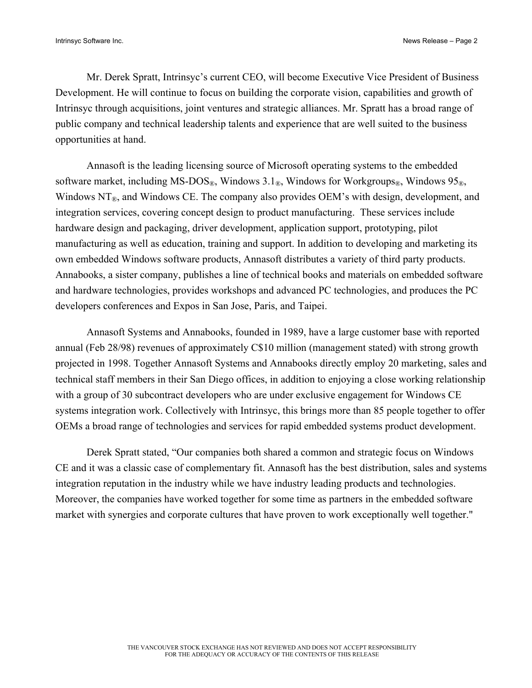Mr. Derek Spratt, Intrinsyc's current CEO, will become Executive Vice President of Business Development. He will continue to focus on building the corporate vision, capabilities and growth of Intrinsyc through acquisitions, joint ventures and strategic alliances. Mr. Spratt has a broad range of public company and technical leadership talents and experience that are well suited to the business opportunities at hand.

Annasoft is the leading licensing source of Microsoft operating systems to the embedded software market, including MS-DOS®, Windows 3.1®, Windows for Workgroups®, Windows  $95$ ®, Windows  $NT_{\mathcal{R}}$ , and Windows CE. The company also provides OEM's with design, development, and integration services, covering concept design to product manufacturing. These services include hardware design and packaging, driver development, application support, prototyping, pilot manufacturing as well as education, training and support. In addition to developing and marketing its own embedded Windows software products, Annasoft distributes a variety of third party products. Annabooks, a sister company, publishes a line of technical books and materials on embedded software and hardware technologies, provides workshops and advanced PC technologies, and produces the PC developers conferences and Expos in San Jose, Paris, and Taipei.

 Annasoft Systems and Annabooks, founded in 1989, have a large customer base with reported annual (Feb 28/98) revenues of approximately C\$10 million (management stated) with strong growth projected in 1998. Together Annasoft Systems and Annabooks directly employ 20 marketing, sales and technical staff members in their San Diego offices, in addition to enjoying a close working relationship with a group of 30 subcontract developers who are under exclusive engagement for Windows CE systems integration work. Collectively with Intrinsyc, this brings more than 85 people together to offer OEMs a broad range of technologies and services for rapid embedded systems product development.

Derek Spratt stated, "Our companies both shared a common and strategic focus on Windows CE and it was a classic case of complementary fit. Annasoft has the best distribution, sales and systems integration reputation in the industry while we have industry leading products and technologies. Moreover, the companies have worked together for some time as partners in the embedded software market with synergies and corporate cultures that have proven to work exceptionally well together."